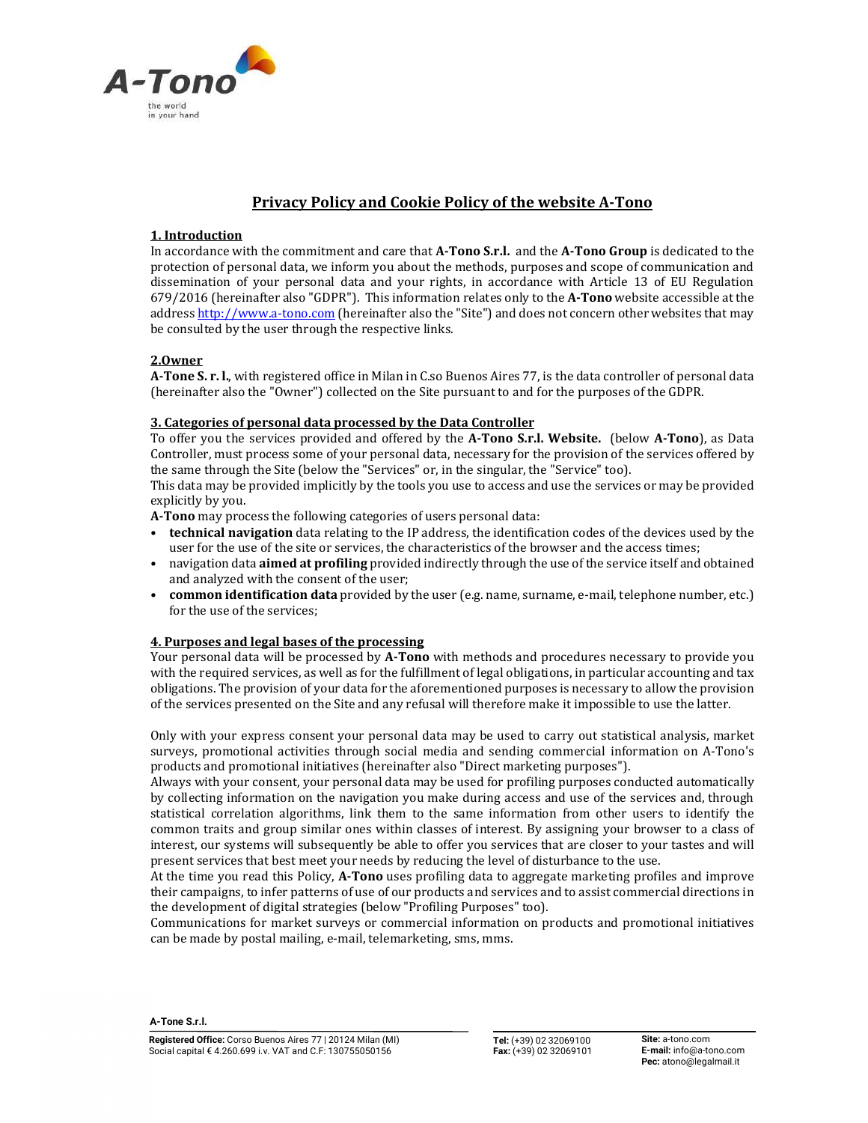

# Privacy Policy and Cookie Policy of the website A-Tono

## 1. Introduction

In accordance with the commitment and care that A-Tono S.r.l. and the A-Tono Group is dedicated to the protection of personal data, we inform you about the methods, purposes and scope of communication and dissemination of your personal data and your rights, in accordance with Article 13 of EU Regulation 679/2016 (hereinafter also "GDPR"). This information relates only to the A-Tono website accessible at the address http://www.a-tono.com (hereinafter also the "Site") and does not concern other websites that may be consulted by the user through the respective links.

## 2.Owner

A-Tone S. r. l., with registered office in Milan in C.so Buenos Aires 77, is the data controller of personal data (hereinafter also the "Owner") collected on the Site pursuant to and for the purposes of the GDPR.

## 3. Categories of personal data processed by the Data Controller

To offer you the services provided and offered by the A-Tono S.r.l. Website. (below A-Tono), as Data Controller, must process some of your personal data, necessary for the provision of the services offered by the same through the Site (below the "Services" or, in the singular, the "Service" too).

This data may be provided implicitly by the tools you use to access and use the services or may be provided explicitly by you.

- A-Tono may process the following categories of users personal data:<br>• technical navigation data relating to the IP address, the identification codes of the devices used by the user for the use of the site or services, the characteristics of the browser and the access times;<br>• navigation data **aimed at profiling** provided indirectly through the use of the service itself and obtained
- and analyzed with the consent of the user;<br> **common identification data** provided by the user (e.g. name, surname, e-mail, telephone number, etc.)
- for the use of the services;

## 4. Purposes and legal bases of the processing

Your personal data will be processed by A-Tono with methods and procedures necessary to provide you with the required services, as well as for the fulfillment of legal obligations, in particular accounting and tax obligations. The provision of your data for the aforementioned purposes is necessary to allow the provision of the services presented on the Site and any refusal will therefore make it impossible to use the latter.

Only with your express consent your personal data may be used to carry out statistical analysis, market surveys, promotional activities through social media and sending commercial information on A-Tono's products and promotional initiatives (hereinafter also "Direct marketing purposes").

Always with your consent, your personal data may be used for profiling purposes conducted automatically by collecting information on the navigation you make during access and use of the services and, through statistical correlation algorithms, link them to the same information from other users to identify the common traits and group similar ones within classes of interest. By assigning your browser to a class of interest, our systems will subsequently be able to offer you services that are closer to your tastes and will present services that best meet your needs by reducing the level of disturbance to the use.

At the time you read this Policy, A-Tono uses profiling data to aggregate marketing profiles and improve their campaigns, to infer patterns of use of our products and services and to assist commercial directions in the development of digital strategies (below "Profiling Purposes" too).

Communications for market surveys or commercial information on products and promotional initiatives can be made by postal mailing, e-mail, telemarketing, sms, mms.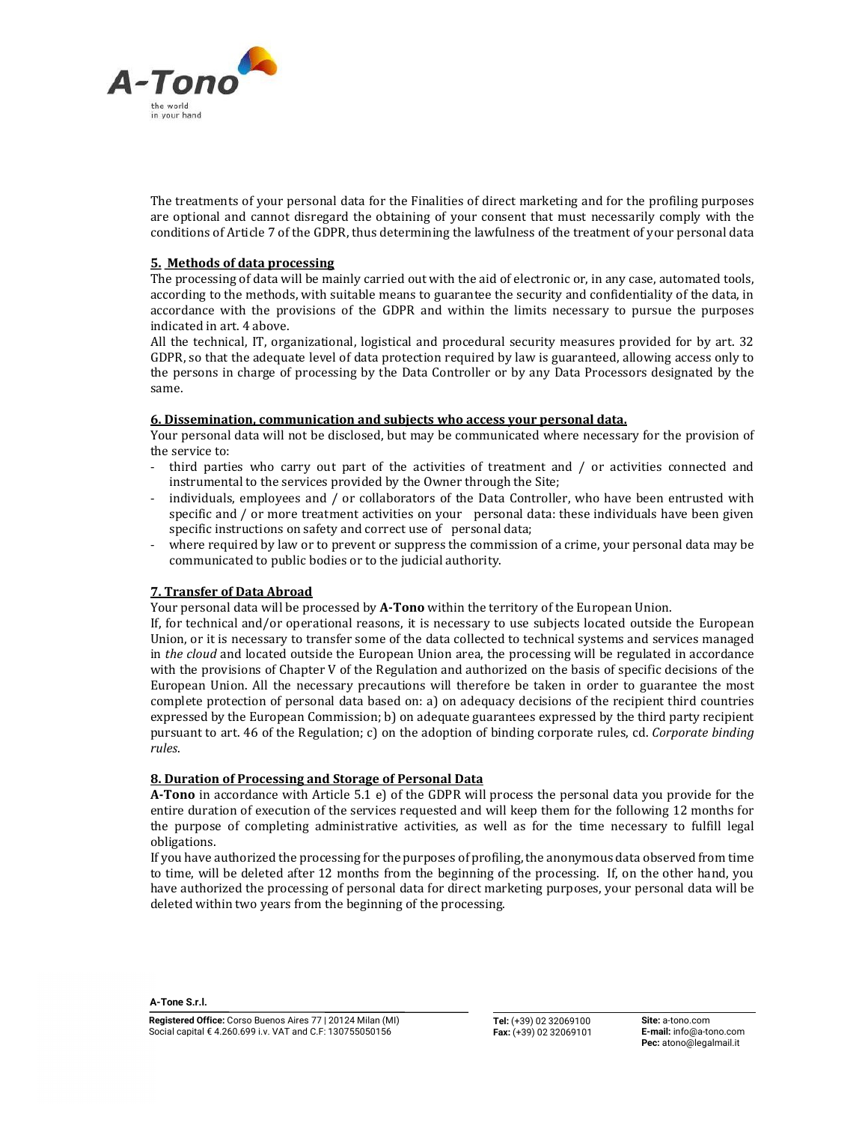

The treatments of your personal data for the Finalities of direct marketing and for the profiling purposes are optional and cannot disregard the obtaining of your consent that must necessarily comply with the conditions of Article 7 of the GDPR, thus determining the lawfulness of the treatment of your personal data

## 5. Methods of data processing

The processing of data will be mainly carried out with the aid of electronic or, in any case, automated tools, according to the methods, with suitable means to guarantee the security and confidentiality of the data, in accordance with the provisions of the GDPR and within the limits necessary to pursue the purposes indicated in art. 4 above.

All the technical, IT, organizational, logistical and procedural security measures provided for by art. 32 GDPR, so that the adequate level of data protection required by law is guaranteed, allowing access only to the persons in charge of processing by the Data Controller or by any Data Processors designated by the same.

## 6. Dissemination, communication and subjects who access your personal data.

Your personal data will not be disclosed, but may be communicated where necessary for the provision of the service to:

- third parties who carry out part of the activities of treatment and / or activities connected and instrumental to the services provided by the Owner through the Site;
- individuals, employees and / or collaborators of the Data Controller, who have been entrusted with specific and / or more treatment activities on your personal data: these individuals have been given specific instructions on safety and correct use of personal data;
- where required by law or to prevent or suppress the commission of a crime, your personal data may be communicated to public bodies or to the judicial authority.

# 7. Transfer of Data Abroad

Your personal data will be processed by A-Tono within the territory of the European Union.

If, for technical and/or operational reasons, it is necessary to use subjects located outside the European Union, or it is necessary to transfer some of the data collected to technical systems and services managed in the cloud and located outside the European Union area, the processing will be regulated in accordance with the provisions of Chapter V of the Regulation and authorized on the basis of specific decisions of the European Union. All the necessary precautions will therefore be taken in order to guarantee the most complete protection of personal data based on: a) on adequacy decisions of the recipient third countries expressed by the European Commission; b) on adequate guarantees expressed by the third party recipient pursuant to art. 46 of the Regulation; c) on the adoption of binding corporate rules, cd. Corporate binding rules.

## 8. Duration of Processing and Storage of Personal Data

A-Tono in accordance with Article 5.1 e) of the GDPR will process the personal data you provide for the entire duration of execution of the services requested and will keep them for the following 12 months for the purpose of completing administrative activities, as well as for the time necessary to fulfill legal obligations.

If you have authorized the processing for the purposes of profiling, the anonymous data observed from time to time, will be deleted after 12 months from the beginning of the processing. If, on the other hand, you have authorized the processing of personal data for direct marketing purposes, your personal data will be deleted within two years from the beginning of the processing.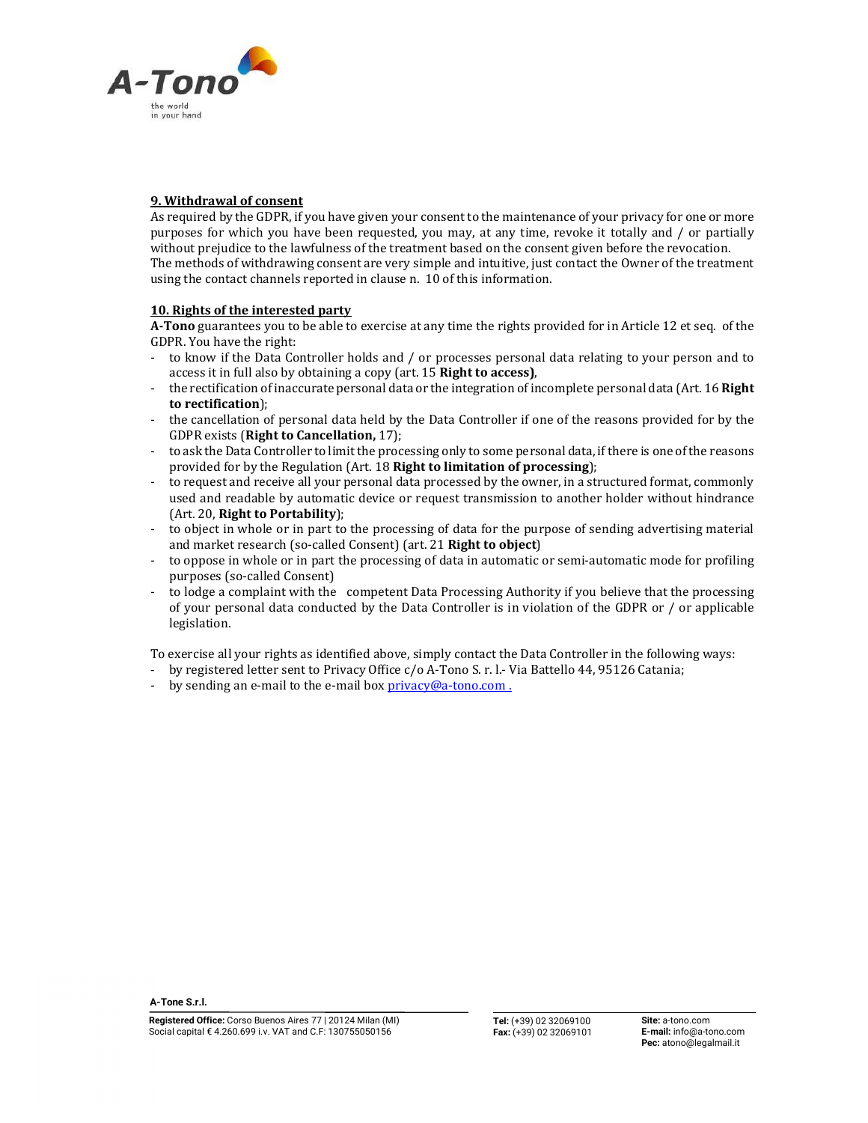

## 9. Withdrawal of consent

As required by the GDPR, if you have given your consent to the maintenance of your privacy for one or more purposes for which you have been requested, you may, at any time, revoke it totally and / or partially without prejudice to the lawfulness of the treatment based on the consent given before the revocation. The methods of withdrawing consent are very simple and intuitive, just contact the Owner of the treatment using the contact channels reported in clause n. 10 of this information.

## 10. Rights of the interested party

A-Tono guarantees you to be able to exercise at any time the rights provided for in Article 12 et seq. of the GDPR. You have the right:<br>- to know if the Data Controller holds and / or processes personal data relating to your person and to

- 
- access it in full also by obtaining a copy (art. 15 **Right to access)**,<br>the rectification of inaccurate personal data or the integration of incomplete personal data (Art. 16 **Right**) to rectification);<br>the cancellation of personal data held by the Data Controller if one of the reasons provided for by the
- 
- GDPR exists (**Right to Cancellation,** 17);<br>to ask the Data Controller to limit the processing only to some personal data, if there is one of the reasons provided for by the Regulation (Art. 18 **Right to limitation of processing**);<br>to request and receive all your personal data processed by the owner, in a structured format, commonly
- used and readable by automatic device or request transmission to another holder without hindrance
- (Art. 20, **Right to Portability**);<br>to object in whole or in part to the processing of data for the purpose of sending advertising material and market research (so-called Consent) (art. 21 **Right to object)**<br>to oppose in whole or in part the processing of data in automatic or semi-automatic mode for profiling
- purposes (so-called Consent)<br>to lodge a complaint with the competent Data Processing Authority if you believe that the processing
- of your personal data conducted by the Data Controller is in violation of the GDPR or / or applicable legislation.

To exercise all your rights as identified above, simply contact the Data Controller in the following ways:

- by registered letter sent to Privacy Office c/o A-Tono S. r. l.- Via Battello 44, 95126 Catania; by sending an e-mail to the e-mail box  $\frac{privacy@a-tono.com}{...}$ .
-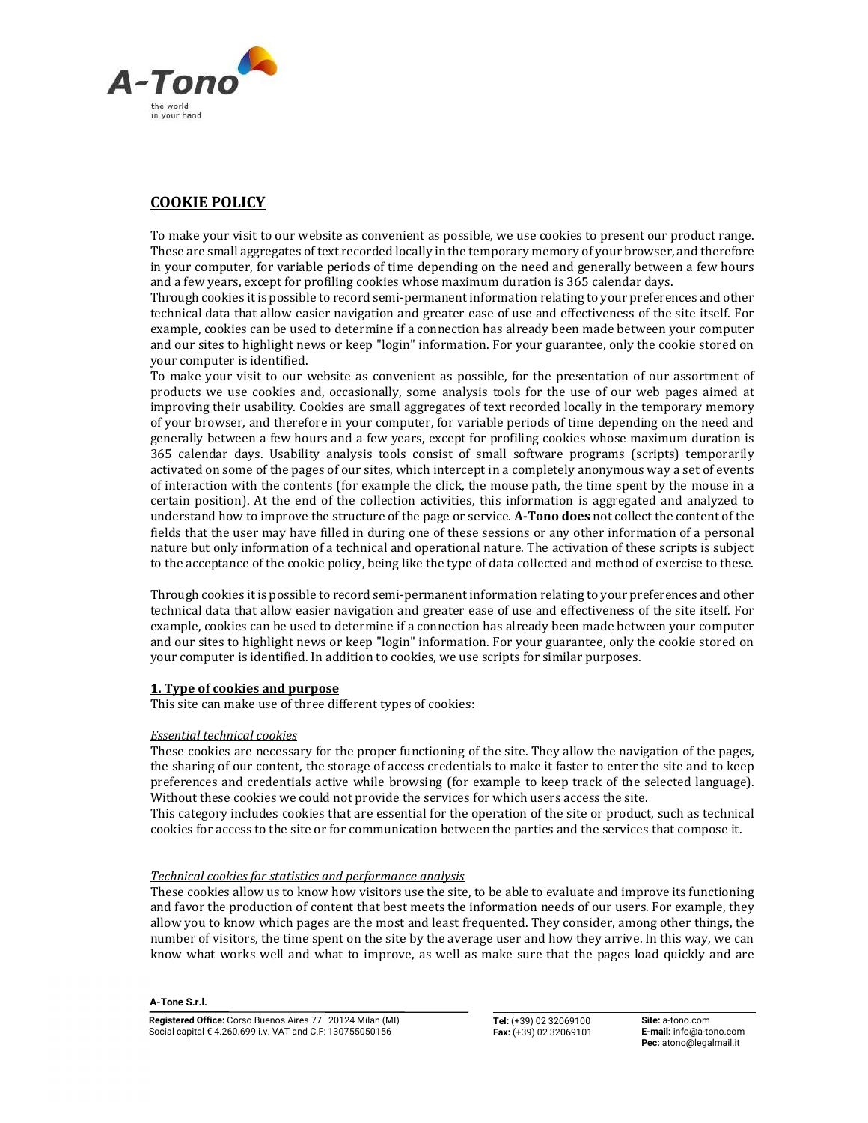

# COOKIE POLICY

To make your visit to our website as convenient as possible, we use cookies to present our product range. These are small aggregates of text recorded locally in the temporary memory of your browser, and therefore in your computer, for variable periods of time depending on the need and generally between a few hours and a few years, except for profiling cookies whose maximum duration is 365 calendar days.

Through cookies it is possible to record semi-permanent information relating to your preferences and other technical data that allow easier navigation and greater ease of use and effectiveness of the site itself. For example, cookies can be used to determine if a connection has already been made between your computer and our sites to highlight news or keep "login" information. For your guarantee, only the cookie stored on your computer is identified.

To make your visit to our website as convenient as possible, for the presentation of our assortment of products we use cookies and, occasionally, some analysis tools for the use of our web pages aimed at improving their usability. Cookies are small aggregates of text recorded locally in the temporary memory of your browser, and therefore in your computer, for variable periods of time depending on the need and generally between a few hours and a few years, except for profiling cookies whose maximum duration is 365 calendar days. Usability analysis tools consist of small software programs (scripts) temporarily activated on some of the pages of our sites, which intercept in a completely anonymous way a set of events of interaction with the contents (for example the click, the mouse path, the time spent by the mouse in a certain position). At the end of the collection activities, this information is aggregated and analyzed to understand how to improve the structure of the page or service. A-Tono does not collect the content of the fields that the user may have filled in during one of these sessions or any other information of a personal nature but only information of a technical and operational nature. The activation of these scripts is subject to the acceptance of the cookie policy, being like the type of data collected and method of exercise to these.

Through cookies it is possible to record semi-permanent information relating to your preferences and other technical data that allow easier navigation and greater ease of use and effectiveness of the site itself. For example, cookies can be used to determine if a connection has already been made between your computer and our sites to highlight news or keep "login" information. For your guarantee, only the cookie stored on your computer is identified. In addition to cookies, we use scripts for similar purposes.

## 1. Type of cookies and purpose

This site can make use of three different types of cookies:

## Essential technical cookies

These cookies are necessary for the proper functioning of the site. They allow the navigation of the pages, the sharing of our content, the storage of access credentials to make it faster to enter the site and to keep preferences and credentials active while browsing (for example to keep track of the selected language). Without these cookies we could not provide the services for which users access the site.

This category includes cookies that are essential for the operation of the site or product, such as technical cookies for access to the site or for communication between the parties and the services that compose it.

## Technical cookies for statistics and performance analysis

These cookies allow us to know how visitors use the site, to be able to evaluate and improve its functioning and favor the production of content that best meets the information needs of our users. For example, they allow you to know which pages are the most and least frequented. They consider, among other things, the number of visitors, the time spent on the site by the average user and how they arrive. In this way, we can know what works well and what to improve, as well as make sure that the pages load quickly and are

#### A-Tone S.r.l.

Tel: (+39) 02 32069100 Fax: (+39) 02 32069101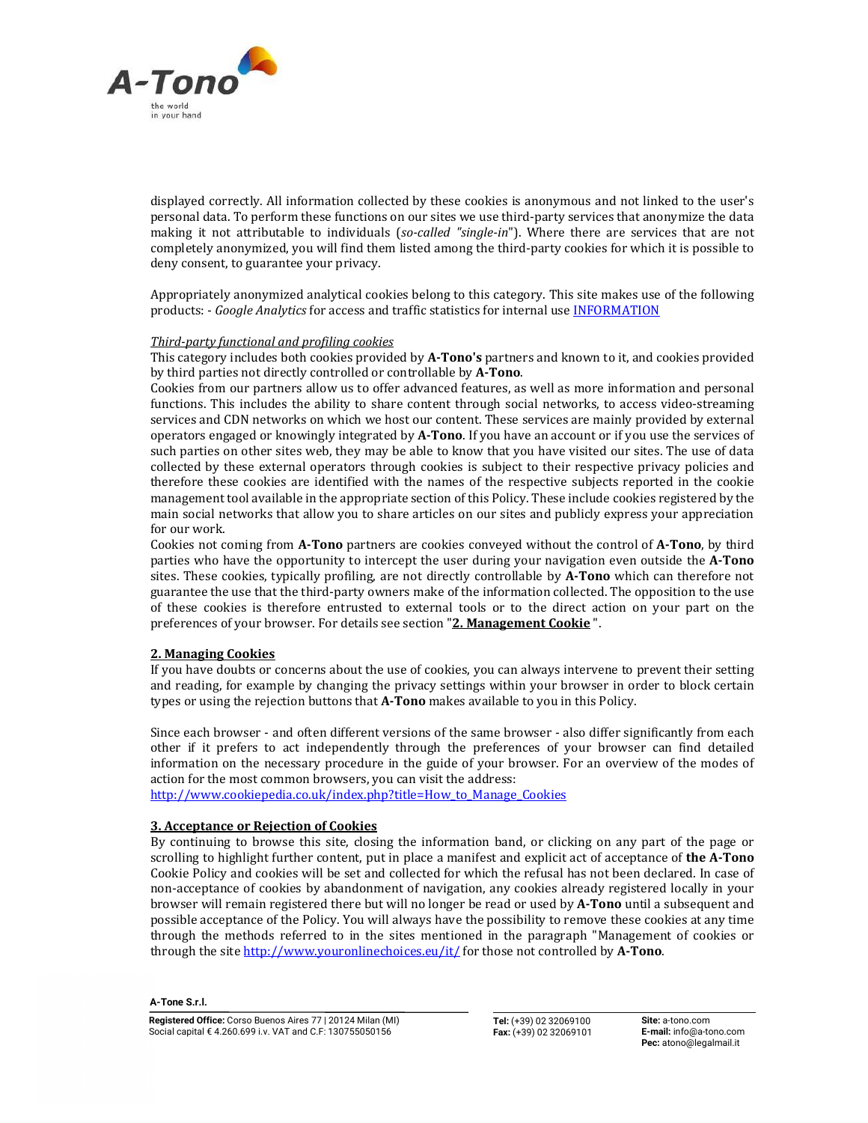

displayed correctly. All information collected by these cookies is anonymous and not linked to the user's personal data. To perform these functions on our sites we use third-party services that anonymize the data making it not attributable to individuals (so-called "single-in"). Where there are services that are not completely anonymized, you will find them listed among the third-party cookies for which it is possible to deny consent, to guarantee your privacy.

Appropriately anonymized analytical cookies belong to this category. This site makes use of the following products: - Google Analytics for access and traffic statistics for internal use INFORMATION

### Third-party functional and profiling cookies

This category includes both cookies provided by A-Tono's partners and known to it, and cookies provided by third parties not directly controlled or controllable by A-Tono.<br>Cookies from our partners allow us to offer advanced features, as well as more information and personal

functions. This includes the ability to share content through social networks, to access video-streaming services and CDN networks on which we host our content. These services are mainly provided by external operators engaged or knowingly integrated by A-Tono. If you have an account or if you use the services of such parties on other sites web, they may be able to know that you have visited our sites. The use of data collected by these external operators through cookies is subject to their respective privacy policies and therefore these cookies are identified with the names of the respective subjects reported in the cookie management tool available in the appropriate section of this Policy. These include cookies registered by the main social networks that allow you to share articles on our sites and publicly express your appreciation for our work.

Cookies not coming from A-Tono partners are cookies conveyed without the control of A-Tono, by third parties who have the opportunity to intercept the user during your navigation even outside the A-Tono sites. These cookies, typically profiling, are not directly controllable by A-Tono which can therefore not guarantee the use that the third-party owners make of the information collected. The opposition to the use of these cookies is therefore entrusted to external tools or to the direct action on your part on the preferences of your browser. For details see section "2. Management Cookie".

## 2. Managing Cookies

If you have doubts or concerns about the use of cookies, you can always intervene to prevent their setting and reading, for example by changing the privacy settings within your browser in order to block certain types or using the rejection buttons that A-Tono makes available to you in this Policy.

Since each browser - and often different versions of the same browser - also differ significantly from each other if it prefers to act independently through the preferences of your browser can find detailed information on the necessary procedure in the guide of your browser. For an overview of the modes of action for the most common browsers, you can visit the address:

http://www.cookiepedia.co.uk/index.php?title=How to Manage Cookies

## 3. Acceptance or Rejection of Cookies

By continuing to browse this site, closing the information band, or clicking on any part of the page or scrolling to highlight further content, put in place a manifest and explicit act of acceptance of the A-Tono Cookie Policy and cookies will be set and collected for which the refusal has not been declared. In case of non-acceptance of cookies by abandonment of navigation, any cookies already registered locally in your browser will remain registered there but will no longer be read or used by A-Tono until a subsequent and possible acceptance of the Policy. You will always have the possibility to remove these cookies at any time through the methods referred to in the sites mentioned in the paragraph "Management of cookies or through the site http://www.youronlinechoices.eu/it/ for those not controlled by A-Tono.